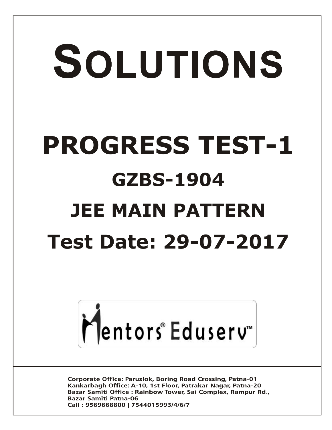# SOLUTIONS **PROGRESS TEST-1 GZBS-1904 JEE MAIN PATTERN Test Date: 29-07-2017**



**Corporate Office: Paruslok, Boring Road Crossing, Patna-01** Kankarbagh Office: A-10, 1st Floor, Patrakar Nagar, Patna-20 Bazar Samiti Office: Rainbow Tower, Sai Complex, Rampur Rd., **Bazar Samiti Patna-06** Call: 9569668800 | 7544015993/4/6/7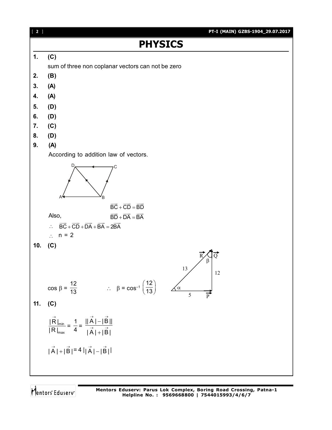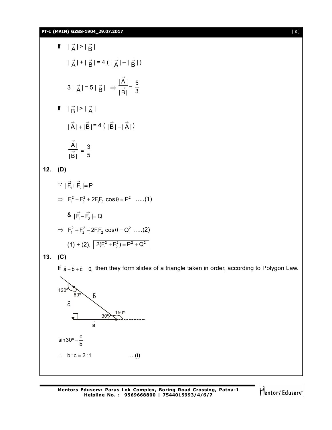**PT-I (MAIN) GZBS-1904\_29.07.2017** [ **3** ]

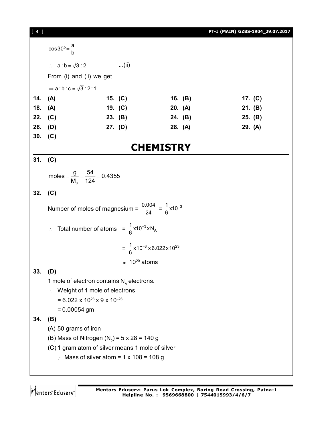[ **4** ] **PT-I (MAIN) GZBS-1904\_29.07.2017**  $\cos 30^\circ = \frac{a}{b}$  $\therefore$  a : b =  $\sqrt{3}$  : 2 ...(ii) From (i) and (ii) we get  $\Rightarrow$  a : b : c =  $\sqrt{3}$  : 2 : 1 **14. (A) 15. (C) 16. (B) 17. (C) 18. (A) 19. (C) 20. (A) 21. (B) 22. (C) 23. (B) 24. (B) 25. (B) 26. (D) 27. (D) 28. (A) 29. (A) 30. (C) CHEMISTRY 31. (C)** 0 moles  $=\frac{g}{\sqrt{2}} = \frac{54}{184} = 0.4355$  $M_0$  124  $=\frac{9}{10}=\frac{1}{104}=$ **32. (C)** Number of moles of magnesium =  $\frac{0.004}{24} = \frac{1}{6} \times 10^{-3}$ - $\therefore$  Total number of atoms =  $\frac{1}{6}$  x10<sup>-3</sup> xN<sub>A</sub>  $\frac{1}{6}$ x10<sup>-3</sup>xN  $\overline{\phantom{0}}$  $=\frac{1}{6}$ x10<sup>-3</sup> x 6.022 x 10<sup>23</sup> - $\approx 10^{20}$  atoms **33. (D)** 1 mole of electron contains  $N_A$  electrons.  $\therefore$  Weight of 1 mole of electrons  $= 6.022 \times 10^{23} \times 9 \times 10^{-28}$ = 0.00054 gm **34. (B)** (A) 50 grams of iron (B) Mass of Nitrogen (N<sub>2</sub>) = 5 x 28 = 140 g (C) 1 gram atom of silver means 1 mole of silver  $\therefore$  Mass of silver atom = 1 x 108 = 108 g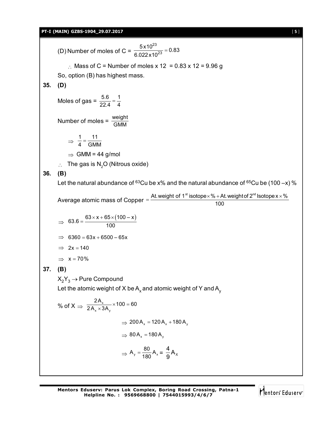## **PT-I (MAIN) GZBS-1904\_29.07.2017** [ **5** ]

(D) Number of moles of C = 23  $\frac{5 \times 10^{23}}{22 \times 10^{23}} = 0.83$ 6.022x10  $=$  $\therefore$  Mass of C = Number of moles x 12 = 0.83 x 12 = 9.96 g So, option (B) has highest mass. **35. (D)** Moles of gas =  $\frac{5.6}{22.4} = \frac{1}{4}$ Number of moles =  $\frac{\text{weight}}{\text{GMM}}$  $\Rightarrow \frac{1}{4} = \frac{11}{\text{CM}}$  $\frac{1}{4} = \frac{11}{GMM}$  $\Rightarrow$  GMM = 44 g/mol  $\therefore$  The gas is N<sub>2</sub>O (Nitrous oxide) **36. (B)** Let the natural abundance of  $63Cu$  be x% and the natural abundance of  $65Cu$  be (100 -x) % Average atomic mass of Copper  $=$   $\frac{\mathsf{At}.\mathsf{weight}~\mathsf{of}~\mathsf{1}^{\mathsf{st}}~\mathsf{isotope}\times\% + \mathsf{At}.\mathsf{weight}~\mathsf{of}~\mathsf{2}^{\mathsf{nd}}~\mathsf{lsotope}\times\%}{\mathsf{400}}$ 100  $\Rightarrow$  $63.6 = \frac{63 \times x + 65 \times (100 - x)}{100}$  $=\frac{63\times x+65\times (}{100}$  $\implies$  6360 = 63x + 6500 – 65x  $\implies$  2x = 140  $\Rightarrow$  x = 70% **37. (B)**  $X_2Y_3 \rightarrow$  Pure Compound Let the atomic weight of X be  $\mathsf{A}_{\mathsf{x}}$  and atomic weight of Y and  $\mathsf{A}_{\mathsf{y}}$ % of X  $\Rightarrow \frac{27}{24}$  $x \wedge$   $\vee$   $\vee$  $\frac{2A_x}{2A_x \times 3A_y} \times 100 = 60$  $\Rightarrow$  200 A<sub>x</sub> = 120 A<sub>x</sub> + 180 A<sub>y</sub>  $\Rightarrow$  80 A<sub>x</sub> = 180 A<sub>y</sub>  $\Rightarrow$  A<sub>y</sub> =  $\frac{80}{180}$  A<sub>x</sub> =  $\frac{4}{9}$  A<sub>x</sub> 9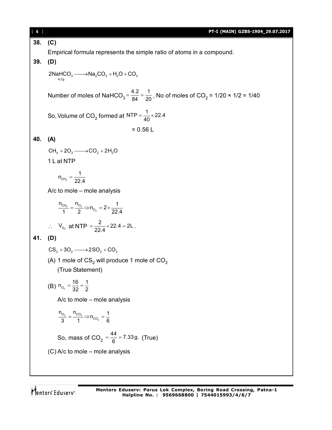| [6] | PT-I (MAIN) GZBS-1904_29.07.2017                                                                                             |
|-----|------------------------------------------------------------------------------------------------------------------------------|
| 38. | (C)                                                                                                                          |
|     | Empirical formula represents the simple ratio of atoms in a compound.                                                        |
| 39. | (D)                                                                                                                          |
|     | $2NAHCO3$ ----->Na <sub>2</sub> CO <sub>3</sub> + H <sub>2</sub> O + CO <sub>2</sub><br>4.2g                                 |
|     | Number of moles of NaHCO <sub>3</sub> = $\frac{4.2}{84} = \frac{1}{20}$ , No of moles of CO <sub>2</sub> = 1/20 × 1/2 = 1/40 |
|     | So, Volume of CO <sub>2</sub> formed at NTP = $\frac{1}{40}$ × 22.4                                                          |
|     | $= 0.56 L$                                                                                                                   |
| 40. | (A)                                                                                                                          |
|     | $CH4 + 2O2 \longrightarrow CO2 + 2H2O$                                                                                       |
|     | 1 L at NTP                                                                                                                   |
|     |                                                                                                                              |
|     | $n_{CH_4} = \frac{1}{22 \text{ A}}$                                                                                          |
|     | $A/c$ to mole – mole analysis                                                                                                |
|     | $\frac{n_{\text{CH}_4}}{1} = \frac{n_{\text{O}_2}}{2}$ $\Rightarrow$ $n_{\text{O}_2} = 2 \times \frac{1}{22 \text{ A}}$      |
|     | $\therefore$ V <sub>o<sub>2</sub></sub> at NTP = $\frac{2}{22 \text{ A}} \times 22.4 = 2L$ .                                 |
| 41. | (D)                                                                                                                          |
|     | $CS_2 + 3O_2 \longrightarrow 2SO_2 + CO_2$                                                                                   |
|     | (A) 1 mole of $CS_2$ will produce 1 mole of $CO_2$                                                                           |
|     | (True Statement)                                                                                                             |
|     | (B) $n_{O_2} = \frac{16}{32} = \frac{1}{2}$                                                                                  |
|     | A/c to mole - mole analysis                                                                                                  |
|     | $\frac{n_{O_2}}{3} = \frac{n_{CO_2}}{1}$ $\Rightarrow$ $n_{CO_2} = \frac{1}{6}$                                              |
|     | So, mass of $CO_2 = \frac{44}{6} = 7.33$ g. (True)                                                                           |
|     | (C) A/c to mole - mole analysis                                                                                              |
|     |                                                                                                                              |
|     |                                                                                                                              |

Mentors<sup>e</sup> Eduserv-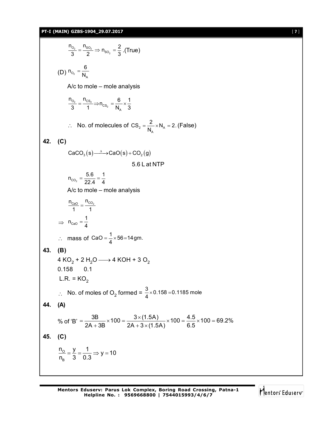### **PT-I (MAIN) GZBS-1904\_29.07.2017** [ **7** ]

 $2 - 902$ 2 o<sub>2</sub> ''so  $\frac{n_{O_2}}{3} = \frac{n_{SO_2}}{2} \Rightarrow n_{SO_2} = \frac{2}{3}$ . (True) (D)  $n_{O_2} = \frac{1}{N_A}$  $n_{_{\rm O_2}} = \frac{6}{N_{\rm p}}$ A/c to mole – mole analysis 2  $\sim$  2 2  $O<sub>2</sub>$   $^{11}CS$  $^{\text{cs}_{2}}$   $\bar{\mathsf{N}}_{\text{A}}$  $\frac{n_{O_2}}{3} = \frac{n_{CS_2}}{1} \implies n_{CS_2} = \frac{6}{N_A} \times \frac{1}{3}$  $\therefore$  No. of molecules of CS<sub>2</sub> =  $\frac{2}{N_A} \times N_A$  $\text{CS}_2 = \frac{2}{N_\text{A}} \times N_\text{A} = 2.$  (False) **42. (C)**  $CaCO<sub>3</sub>(s) \longrightarrow CaO(s) + CO<sub>2</sub>(g)$ 5.6 L at NTP  $\mathsf{co_2}$  $n_{CO_2} = \frac{5.6}{22.4} = \frac{1}{4}$ A/c to mole – mole analysis  $n_{\text{CaO}}$   $n_{\text{CO}_2}$  $\frac{2a0}{1} = \frac{100}{1}$  $\Rightarrow$   $n_{\text{CaO}}$  $n_{\text{caO}} = \frac{1}{4}$  $\therefore$  mass of CaO =  $\frac{1}{4} \times 56 = 14$ gm. **43. (B)** 4 KO $_2$  + 2 H $_2$ O —  $\rightarrow$  4 KOH + 3 O $_2$ 0.158 0.1  $L.R. = KO<sub>2</sub>$  $\therefore$  No. of moles of O<sub>2</sub> formed =  $\frac{3}{4} \times 0.158 = 0.1185$  mole **44. (A)** % of 'B' =  $\frac{3B}{2A + 3B} \times 100 = \frac{3 \times (1.5A)}{2A + 3 \times (1.5A)} \times 100 = \frac{4.5}{6.5} \times 100 = 69.2\%$  $=\frac{3B}{24.00} \times 100 = \frac{3 \times (1.5A)}{24.0} \times 100 = \frac{4.5}{2.5} \times 100 = 6$  $+3B$  2A + 3  $\times$  ( **45. (C)**  $\frac{n_o}{n} = \frac{y}{2} = \frac{1}{20} \Rightarrow y = 10$ B n<sub>B</sub> 3 0.3  $=\frac{y}{2}=\frac{1}{2} \Rightarrow y=1$ 

Mentors Eduserv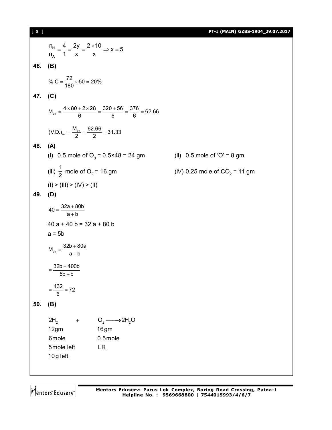[ **8** ] **PT-I (MAIN) GZBS-1904\_29.07.2017**

$$
\frac{n_{H}}{n_{A}} = \frac{4}{1} = \frac{2y}{x} = \frac{2 \times 10}{x} \Rightarrow x = 5
$$
\n46. (B)  
\n% C =  $\frac{72}{180} \times 50 = 20\%$   
\n47. (C)  
\n
$$
M_{av} = \frac{4 \times 80 + 2 \times 28}{6} = \frac{320 + 56}{6} = \frac{376}{6} = 62.66
$$
\n
$$
(VD)_{av} = \frac{M_{av}}{2} = \frac{62.66}{2} = 31.33
$$
\n48. (A)  
\n(I) 0.5 mole of O<sub>3</sub> = 0.5×48 = 24 gm (II) 0.5 mole of 'O' = 8 gm  
\n(III)  $\frac{1}{2}$  mole of O<sub>2</sub> = 16 gm (IV) 0.25 mole of CO<sub>2</sub> = 11 gm  
\n(I) > (III) > (IV) > (II)  
\n49. (D)  
\n40 =  $\frac{32a + 80b}{a + b}$   
\n40 a + 40 b = 32 a + 80 b  
\n $a = 5b$   
\n
$$
M_{av} = \frac{32b + 400b}{a + b}
$$
\n
$$
= \frac{32b + 400b}{5b + b}
$$
\n
$$
= \frac{432}{6} = 72
$$
\n50. (B)  
\n2H<sub>2</sub> + O<sub>2</sub> → 2H<sub>2</sub>O  
\n12gm (16gm  
\n6mole  
\n5mole left  
\n10g left.  
\nLR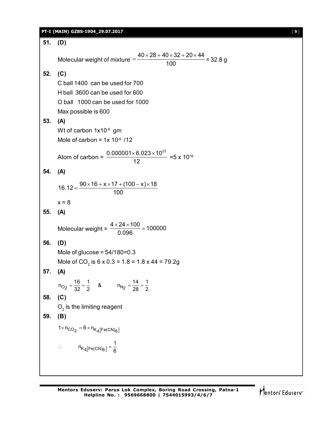| PT-I (MAIN) GZBS-1904 29.07.2017 |  |
|----------------------------------|--|
|----------------------------------|--|

| 51. | (D)                                                                                       |
|-----|-------------------------------------------------------------------------------------------|
|     |                                                                                           |
|     | Molecular weight of mixture $=\frac{40\times28+40\times32+20\times44}{100}$ = 32.8 g      |
| 52. | (C)                                                                                       |
|     | C ball 1400 can be used for 700                                                           |
|     | H ball 3600 can be used for 600                                                           |
|     | O ball 1000 can be used for 1000                                                          |
|     | Max possible is 600                                                                       |
| 53. | (A)                                                                                       |
|     | Wt of carbon 1x10 <sup>-6</sup> gm                                                        |
|     | Mole of carbon = $1x 10^{-6}$ /12                                                         |
|     | Atom of carbon = $\frac{0.000001 \times 6.023 \times 10^{23}}{12}$ = 5 x 10 <sup>16</sup> |
|     |                                                                                           |
| 54. | (A)                                                                                       |
|     | $16.12 = \frac{90 \times 16 + x \times 17 + (100 - x) \times 18}{100}$                    |
|     |                                                                                           |
|     | $x = 8$                                                                                   |
| 55. | (A)                                                                                       |
|     | Molecular weight = $\frac{4 \times 24 \times 100}{0.096}$ = 100000                        |
| 56. | (D)                                                                                       |
|     | Mole of glucose = $54/180=0.3$                                                            |
|     | Mole of CO <sub>2</sub> is 6 x 0.3 = 1.8 = 1.8 x 44 = 79.2g                               |
| 57. | (A)                                                                                       |
|     | $n_{O_2} = \frac{16}{32} = \frac{1}{2}$ &<br>$n_{N_2} = \frac{14}{28} = \frac{1}{2}$      |
| 58. | (C)                                                                                       |
|     | $O2$ is the limiting reagent                                                              |
| 59. | (B)                                                                                       |
|     |                                                                                           |
|     | $1 \times n_{CO_2} = 6 \times n_{K_4[Fe(CN)_6]}$                                          |
|     | $\therefore$ $n_{K_4[Fe(CN)_6]} = \frac{1}{6}$                                            |
|     |                                                                                           |
|     |                                                                                           |
|     |                                                                                           |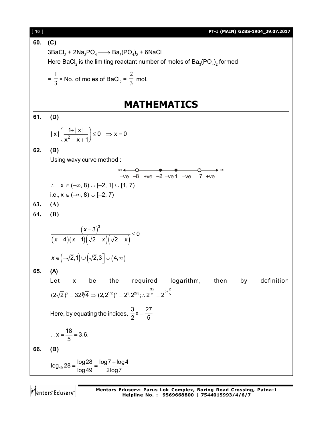[ **10** ] **PT-I (MAIN) GZBS-1904\_29.07.2017 60. (C)**  $\texttt{3Badl}_2 + \texttt{2Na}_{\texttt{3}}\texttt{PO}_4 \longrightarrow \texttt{Ba}_{\texttt{3}}(\texttt{PO}_4)_2 + \texttt{6NaCl}$ Here BaCl $_2$  is the limiting reactant number of moles of Ba $_{\tiny 3}$ (PO $_{\tiny 4})_{\tiny 2}$  formed  $=\frac{1}{3}$ 1 × No. of moles of BaCl<sub>2</sub> =  $\frac{1}{3}$ 2 mol. **MATHEMATICS 61. (D)**  $|x| \left( \frac{1+|x|}{x^2-x+1} \right) \le 0 \Rightarrow x = 0$  $x^2 - x + 1$  $\left(\frac{1+|x|}{x^2-x+1}\right) \le 0 \Rightarrow x=0$ **62. (B)** Using wavy curve method :  $-ve$   $-8$  +ve  $-2$   $-ve1$   $-ve$  7 +ve –  $\therefore$   $x \in (-\infty, 8) \cup [-2, 1] \cup [1, 7)$ i.e.,  $x \in (-\infty, 8) \cup [-2, 7)$ **63. (A) 64. (B)**  $(x-3)$  $(x-4)(x-1)(\sqrt{2}-x)(\sqrt{2}+x)$  $3)^3$ 0 4 $(x-1)(\sqrt{2}-x)(\sqrt{2})$ - $\leq$  $(-4)(x-1)(\sqrt{2}-x)(\sqrt{2}+x)$ *x*  $(x-4)(x-1)(\sqrt{2}-x)(\sqrt{2}+x)$  $x \in (-\sqrt{2},1] \cup (\sqrt{2},3] \cup (4,\infty)$ **65. (A)** Let x be the required logarithm, then by definition  $(2\sqrt{2})^x = 32\sqrt[5]{4} \Rightarrow (2,2^{1/2})^x = 2^5 \cdot 2^{2/5}$ ;  $\therefore 2^{\frac{3x}{2}} = 2^{5+\frac{2}{5}}$ Here, by equating the indices,  $\frac{3}{2}x = \frac{27}{5}$ 2 5  $=$  $x = \frac{18}{5} = 3.6.$ 5  $\therefore$  X =  $\frac{18}{5}$  = 3 **66. (B)**  $log_{49} 28 = \frac{log28}{log10} = \frac{log7 + log4}{log7}$ log49 2log7  $=\frac{\log 28}{1.12}=\frac{\log 7+1}{2.12}$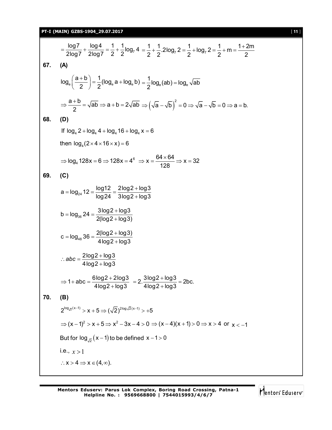$$
\frac{\log 7}{2\log 7} + \frac{\log 4}{2\log 7} = \frac{1}{2} + \frac{1}{2}\log_7 4 = \frac{1}{2} + \frac{1}{2}.2\log_7 2 = \frac{1}{2} + \log_7 2 = \frac{1}{2} + m = \frac{1+2m}{2}
$$
  
\n67. (A)  
\n
$$
\log_a \left(\frac{a+b}{2}\right) = \frac{1}{2}(\log_a a + \log_a b) = \frac{1}{2}\log_a (ab) = \log_a \sqrt{ab}
$$
\n
$$
\Rightarrow \frac{a+b}{2} = \sqrt{ab} \Rightarrow a+b = 2\sqrt{ab} \Rightarrow (\sqrt{a} - \sqrt{b})^2 = 0 \Rightarrow \sqrt{a} - \sqrt{b} = 0 \Rightarrow a = b.
$$
  
\n68. (D)  
\nIf  $\log_a 2 + \log_a 4 + \log_a 16 + \log_a x = 6$   
\nthen  $\log_a (2 \times 4 \times 16 \times x) = 6$   
\n
$$
\Rightarrow \log_a 128x = 6 \Rightarrow 128x = 4^6 \Rightarrow x = \frac{64 \times 64}{128} \Rightarrow x = 32
$$
  
\n69. (C)  
\n
$$
a = \log_{2a} 12 = \frac{\log 12}{\log 24} = \frac{2\log 2 + \log 3}{3\log 2 + \log 3}
$$
\n
$$
b = \log_{9a} 24 = \frac{3\log 2 + \log 3}{2(\log 2 + \log 3)}
$$
\n
$$
c = \log_{4a} 36 = \frac{2(\log 2 + \log 3)}{4\log 2 + \log 3}
$$
\n
$$
\therefore abc = \frac{2\log 2 + \log 3}{4\log 2 + \log 3} = 2 \cdot \frac{3\log 2 + \log 3}{4\log 2 + \log 3} = 2bc.
$$
  
\n70. (B)  
\n
$$
2^{\log_a (x-1)} > x + 5 \Rightarrow (\sqrt{2})^{2\log_3 \sqrt{2}(x-1)} > +5
$$
\n
$$
\Rightarrow (x-1)^2 > x + 5 \Rightarrow (\sqrt{2})^{2\log_3 \sqrt{2}(x-1)} > +5
$$
\n
$$
\Rightarrow (x-1)^2 > x +
$$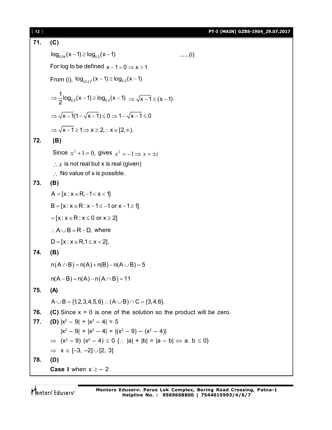# [ **12** ] **PT-I (MAIN) GZBS-1904\_29.07.2017**

71. (C)  
\n
$$
log_{0.04}(x-1) \ge log_{0.2}(x-1)
$$
 ......(i)  
\nFor log to be defined x-1>0 ⇒ x>1  
\nFrom (i),  $log_{(0.2)^2}(x-1) \ge log_{0.2}(x-1)$   
\n $\Rightarrow \frac{1}{2}log_{0.2}(x-1) \ge log_{0.2}(x-1) \Rightarrow \sqrt{x-1} \le (x-1)$   
\n $\Rightarrow \sqrt{x-1}(1-\sqrt{x-1}) \le 0 \Rightarrow 1-\sqrt{x-1} \le 0$   
\n $\Rightarrow \sqrt{x-1} \ge 1 \Rightarrow x \ge 2, \therefore x \in [2, \infty)$ .  
\n72. (B)  
\nSince  $x^2 + 1 = 0$ , gives  $x^2 = -1 \Rightarrow x = \pm i$   
\n $\therefore x$  is not real but x is real (given)  
\n $\therefore$  No value of x is possible.  
\n73. (B)  
\nA = [x : x ∈ R, -1 < x < 1]  
\nB = [x : x ∈ R : x ≤ 0 or x ≥ 2]  
\n $\therefore A ∪ B = R - D$ , where  
\nD = [x : x ∈ R : x ≤ 0 or x ≥ 2]  
\n74. (B)  
\n $n(A ∩ B) = n(A) + n(B) - n(A ∪ B) = 5$   
\n $n(A - B) = n(A) - n(A ∩ B) = 11$   
\n75. (A)  
\nA ∪ B = {1,2,3,4,5,6} ∴ (A ∪B) ∩ C = {3,4,6}.  
\n76. (C) Since x = 0 is one of the solution so the product will be zero.  
\n77. (D) |x<sup>2</sup> - 9| + |x<sup>2</sup> - 4| = 5  
\n|x<sup>2</sup> - 9| + |x<sup>2</sup> - 4| = 5  
\n|x<sup>2</sup> - 9| + |x<sup>2</sup> - 4| = |(x<sup>2</sup> - 9) - (x<sup>2</sup> - 4)|  
\n $\Rightarrow (x2 - 9) (x2 - 4) \le 0$  {∴ |a| + |b| = |a - b|  $\Leftrightarrow$  a. b ≤ 0}  
\n $\Rightarrow$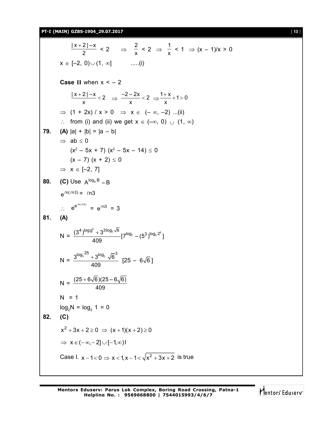**PT-I (MAIN) GZBS-1904\_29.07.2017** [ **13** ]

 $|x+2|-x$  $\frac{2|-x}{2} < 2 \Rightarrow \frac{2}{x}$  $\frac{2}{x}$  < 2  $\Rightarrow$   $\frac{1}{x}$  $\frac{1}{x}$  < 1  $\Rightarrow$   $(x - 1)/x > 0$  $x \in [-2, 0) \cup (1, \infty]$  .....(i) **Case II** when  $x < -2$  $\frac{|x+2|-x}{2}<2$  $\frac{2|-x}{x}$  < 2  $\Rightarrow \frac{-2-2x}{x}$  < 2  $\frac{-2x}{x}$  < 2  $\Rightarrow \frac{1+x}{x}$  + 1 > 0 x  $\Rightarrow$  (1 + 2x) / x > 0  $\Rightarrow$  x  $\in$  (-  $\infty$ , -2) ...(ii)  $\therefore$  from (i) and (ii) we get  $x \in (-\infty, 0) \cup (1, \infty)$ **79. (A)**  $|a| + |b| = |a - b|$  $\Rightarrow$  ab  $\leq$  0  $(x^2 - 5x + 7)$   $(x^2 - 5x - 14) \le 0$  $(x - 7)(x + 2) \le 0$  $\Rightarrow$   $x \in [-2, 7]$ **80. (C)** Use  $A^{log_A B} = B$  $e^{\ln(\ln 3)} = \ln 3$  $\therefore e^{e^{in(n/3)}} = e^{ln3} = 3$ **81. (A)**  $N = \frac{(3^4)^{\log 9^5} + 3^{3\log_3 \sqrt{6}}}{\log 7} [7^{\log_7} - (5^3)^{\log_5 2^6}]$ 409  $N = \frac{3^{\log_3 25} + 3^{\log_3} \sqrt{6}^3}{125}$ 409  $[25 - 6\sqrt{6}]$  $N = \frac{(25 + 6\sqrt{6})(25 - 6\sqrt{6})}{409}$  $N = 1$  $log_2 N = log_2 1 = 0$ **82. (C)**  $x^2 + 3x + 2 \ge 0 \Rightarrow (x + 1)(x + 2) \ge 0$  $\Rightarrow$   $x \in (-\infty, -2] \cup [-1, \infty)$ Case I.  $x - 1 < 0 \Rightarrow x < 1, x - 1 < \sqrt{x^2 + 3x + 2}$  is true

**Mentors Eduserv: Parus Lok Complex, Boring Road Crossing, Patna-1 Helpline No. : 9569668800 | 7544015993/4/6/7**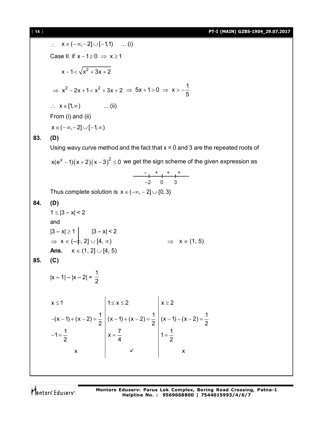[ **14** ] **PT-I (MAIN) GZBS-1904\_29.07.2017**

2. 
$$
x \in (-\infty, -2] \cup [-1, 1) \dots (i)
$$
  
\nCase II. if  $x-1 \ge 0 \Rightarrow x \ge 1$   
\n $x-1 < \sqrt{x^2+3x+2}$   
\n $\Rightarrow x^2-2x+1 < x^2 + 3x + 2 \Rightarrow 5x+1 > 0 \Rightarrow x > -\frac{1}{5}$   
\n∴  $x \in [1, \infty)$  .... (ii)  
\nFrom (i) and (ii)  
\n $x \in (-\infty, -2] \cup [-1, \infty)$   
\n83. (D)  
\nUsing wavy curve method and the fact that  $x = 0$  and 3 are the repeated roots of  
\n $x(e^{x}-1)(x+2)(x-3)^2 \le 0$  we get the sign scheme of the given expression as  
\n $\frac{-}{-2} + \frac{1}{1} + \frac{1}{1} + \frac{1}{1} - \frac{1}{2} = \frac{1}{3}$   
\nThus complete solution is  $x \in (-\infty, -2] \cup \{0, 3\}$   
\n84. (D)  
\n $1 \le |3-x| < 2$   
\n $\Rightarrow x \in (-\frac{1}{2}, 2] \cup [4, \infty)$   
\n $\Rightarrow x \in (-\frac{1}{2}, 2] \cup [4, \infty)$   
\n $\Rightarrow x \in (1, 5)$   
\nAns.  $x \in (1, 2] \cup [4, 5)$   
\n85. (C)  
\n $|x-1|-|x-2| = \frac{1}{2}$   
\n $\Rightarrow x \le 1$   
\n $\Rightarrow (x-1)+(x-2) = \frac{1}{2}$   
\n $\Rightarrow x \ge -1$   
\n $\Rightarrow (x-1)+(x-2) = \frac{1}{2}$   
\n $\Rightarrow x \ge -1$   
\n $\Rightarrow x \ge 2$   
\n $\Rightarrow (x-1)+(x-2) = \frac{1}{2}$   
\n $\Rightarrow x \ge 2$   
\n $\Rightarrow (x-1)+(x-2) = \frac{1}{2}$   
\n $\Rightarrow x \ge 2$   
\n $\Rightarrow (x-1)+(x-2) = \frac{1}{2}$   
\n $\Rightarrow x \ge 2$   
\n $\Rightarrow (x$